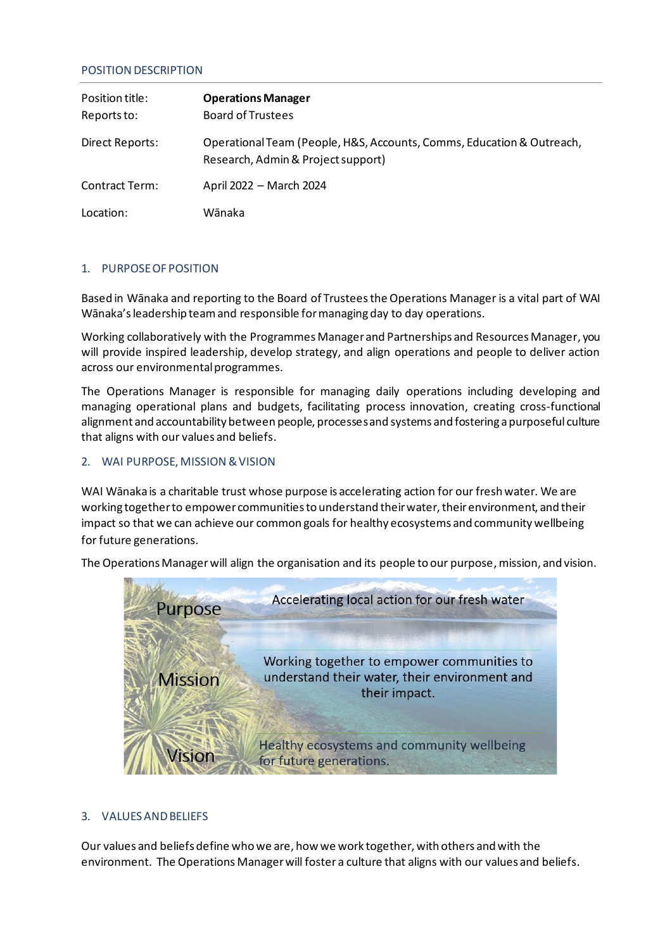### POSITION DESCRIPTION

| Position title:<br>Reports to: | <b>Operations Manager</b><br><b>Board of Trustees</b>                                                       |
|--------------------------------|-------------------------------------------------------------------------------------------------------------|
| Direct Reports:                | Operational Team (People, H&S, Accounts, Comms, Education & Outreach,<br>Research, Admin & Project support) |
| Contract Term:                 | April 2022 - March 2024                                                                                     |
| Location:                      | Wānaka                                                                                                      |

### 1. PURPOSE OF POSITION

Based in Wānaka and reporting to the Board of Trusteesthe Operations Manager is a vital part of WAI Wānaka's leadership team and responsible for managing day to day operations.

Working collaboratively with the Programmes Manager and Partnerships and Resources Manager, you will provide inspired leadership, develop strategy, and align operations and people to deliver action across our environmental programmes.

The Operations Manager is responsible for managing daily operations including developing and managing operational plans and budgets, facilitating process innovation, creating cross-functional alignment and accountability between people, processesand systems and fostering a purposeful culture that aligns with our values and beliefs.

### 2. WAI PURPOSE, MISSION & VISION

WAI Wānaka is a charitable trust whose purpose is accelerating action for our fresh water. We are working together to empower communities to understand their water, their environment, and their impact so that we can achieve our common goals for healthy ecosystems and community wellbeing for future generations.

The Operations Manager will align the organisation and its people to our purpose, mission, and vision.



### 3. VALUES AND BELIEFS

Our values and beliefs define who we are, how we work together, with others and with the environment. The Operations Manager will foster a culture that aligns with our values and beliefs.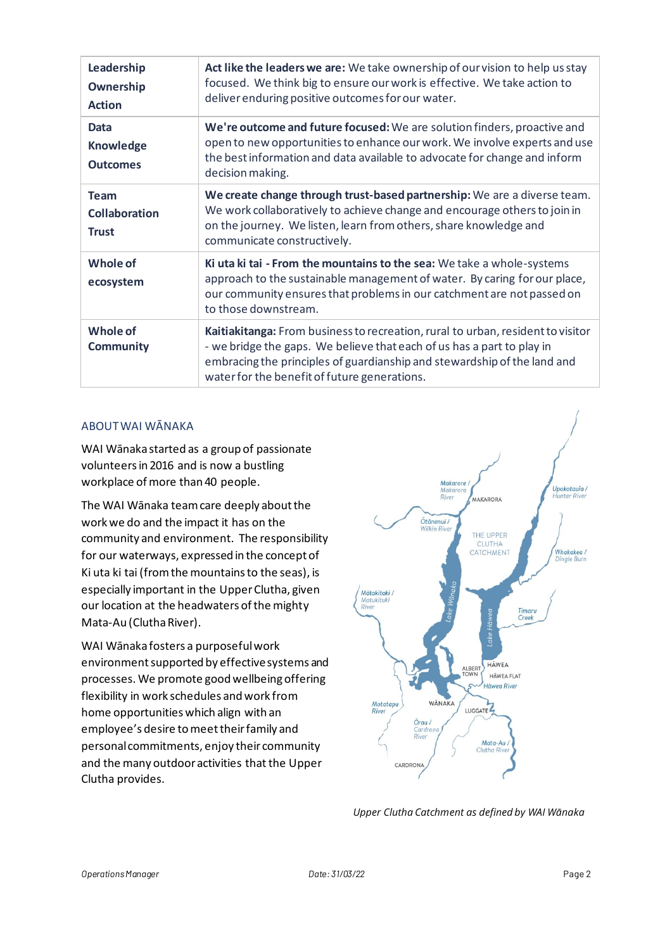| Leadership<br>Ownership<br><b>Action</b>            | Act like the leaders we are: We take ownership of our vision to help us stay<br>focused. We think big to ensure our work is effective. We take action to<br>deliver enduring positive outcomes for our water.                                                                         |
|-----------------------------------------------------|---------------------------------------------------------------------------------------------------------------------------------------------------------------------------------------------------------------------------------------------------------------------------------------|
| <b>Data</b><br><b>Knowledge</b><br><b>Outcomes</b>  | We're outcome and future focused: We are solution finders, proactive and<br>open to new opportunities to enhance our work. We involve experts and use<br>the best information and data available to advocate for change and inform<br>decision making.                                |
| <b>Team</b><br><b>Collaboration</b><br><b>Trust</b> | We create change through trust-based partnership: We are a diverse team.<br>We work collaboratively to achieve change and encourage others to join in<br>on the journey. We listen, learn from others, share knowledge and<br>communicate constructively.                             |
| Whole of<br>ecosystem                               | Ki uta ki tai - From the mountains to the sea: We take a whole-systems<br>approach to the sustainable management of water. By caring for our place,<br>our community ensures that problems in our catchment are not passed on<br>to those downstream.                                 |
| Whole of<br><b>Community</b>                        | Kaitiakitanga: From business to recreation, rural to urban, resident to visitor<br>- we bridge the gaps. We believe that each of us has a part to play in<br>embracing the principles of guardianship and stewardship of the land and<br>water for the benefit of future generations. |

# ABOUT WAI WĀNAKA

WAI Wānaka started as a group of passionate volunteers in 2016 and is now a bustling workplace of more than 40 people.

The WAI Wānaka team care deeply about the work we do and the impact it has on the community and environment. The responsibility for our waterways, expressed in the concept of Ki uta ki tai (from the mountains to the seas), is especially important in the UpperClutha, given our location at the headwaters of the mighty Mata-Au (Clutha River).

WAI Wānaka fosters a purposeful work environment supported by effective systems and processes. We promote good wellbeing offering flexibility in work schedules and work from home opportunities which align with an employee's desire to meet their family and personal commitments, enjoy their community and the many outdoor activities that the Upper Clutha provides.



*Upper Clutha Catchment as defined by WAI Wānaka*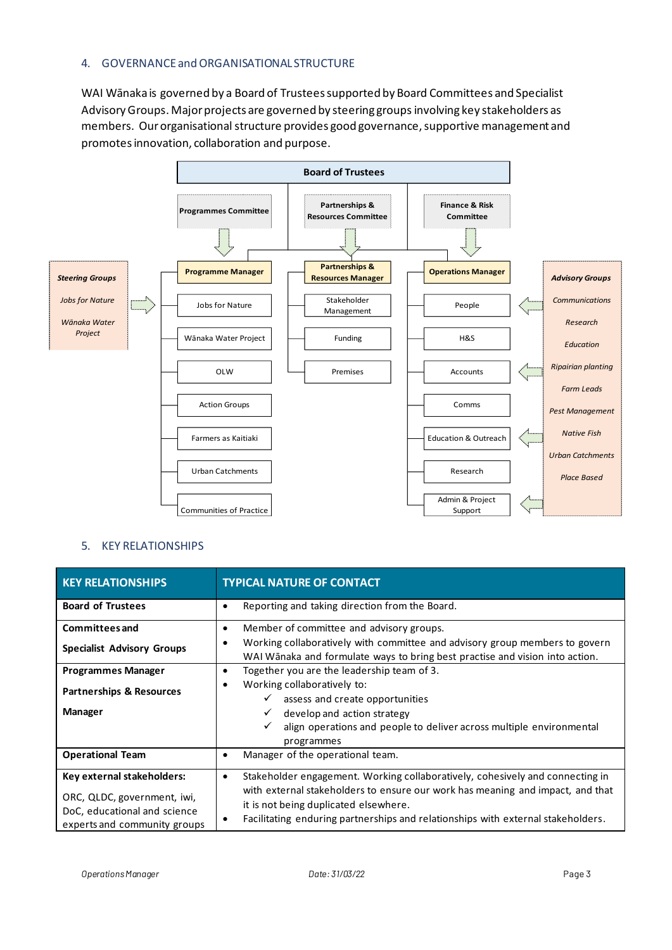### 4. GOVERNANCE and ORGANISATIONAL STRUCTURE

WAI Wānaka is governed by a Board of Trustees supported by Board Committees and Specialist Advisory Groups. Major projects are governed by steering groups involving key stakeholders as members. Ourorganisational structure provides good governance, supportive management and promotesinnovation, collaboration and purpose.



#### 5. KEY RELATIONSHIPS

| <b>KEY RELATIONSHIPS</b>                                                                                                  | <b>TYPICAL NATURE OF CONTACT</b>                                                                                                                                                                                                                                                                  |
|---------------------------------------------------------------------------------------------------------------------------|---------------------------------------------------------------------------------------------------------------------------------------------------------------------------------------------------------------------------------------------------------------------------------------------------|
| <b>Board of Trustees</b>                                                                                                  | Reporting and taking direction from the Board.<br>٠                                                                                                                                                                                                                                               |
| <b>Committees and</b><br><b>Specialist Advisory Groups</b>                                                                | Member of committee and advisory groups.<br>٠<br>Working collaboratively with committee and advisory group members to govern<br>٠<br>WAI Wānaka and formulate ways to bring best practise and vision into action.                                                                                 |
| <b>Programmes Manager</b><br><b>Partnerships &amp; Resources</b><br><b>Manager</b>                                        | Together you are the leadership team of 3.<br>Working collaboratively to:<br>٠<br>assess and create opportunities<br>develop and action strategy<br>✓<br>align operations and people to deliver across multiple environmental<br>programmes                                                       |
| <b>Operational Team</b>                                                                                                   | Manager of the operational team.<br>٠                                                                                                                                                                                                                                                             |
| Key external stakeholders:<br>ORC, QLDC, government, iwi,<br>DoC, educational and science<br>experts and community groups | Stakeholder engagement. Working collaboratively, cohesively and connecting in<br>٠<br>with external stakeholders to ensure our work has meaning and impact, and that<br>it is not being duplicated elsewhere.<br>Facilitating enduring partnerships and relationships with external stakeholders. |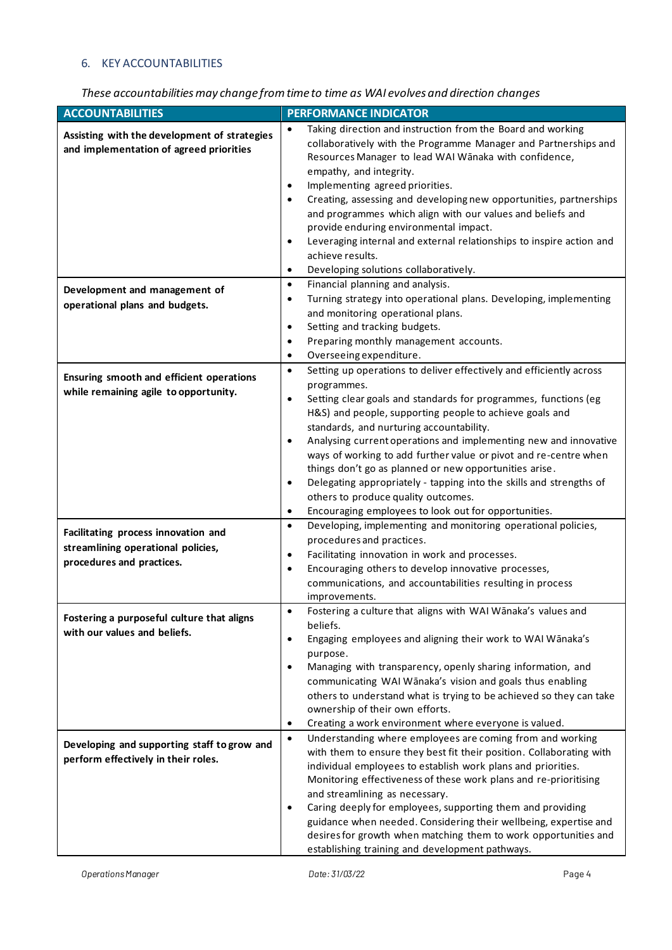# 6. KEY ACCOUNTABILITIES

# *These accountabilities may change from time to time as WAI evolves and direction changes*

| <b>ACCOUNTABILITIES</b>                                                                 | <b>PERFORMANCE INDICATOR</b>                                                                                                                                                                         |
|-----------------------------------------------------------------------------------------|------------------------------------------------------------------------------------------------------------------------------------------------------------------------------------------------------|
| Assisting with the development of strategies<br>and implementation of agreed priorities | Taking direction and instruction from the Board and working<br>$\bullet$<br>collaboratively with the Programme Manager and Partnerships and<br>Resources Manager to lead WAI Wānaka with confidence, |
|                                                                                         | empathy, and integrity.<br>Implementing agreed priorities.<br>$\bullet$                                                                                                                              |
|                                                                                         | Creating, assessing and developing new opportunities, partnerships<br>٠<br>and programmes which align with our values and beliefs and<br>provide enduring environmental impact.                      |
|                                                                                         | Leveraging internal and external relationships to inspire action and<br>$\bullet$<br>achieve results.                                                                                                |
|                                                                                         | Developing solutions collaboratively.<br>٠                                                                                                                                                           |
| Development and management of                                                           | Financial planning and analysis.<br>$\bullet$                                                                                                                                                        |
| operational plans and budgets.                                                          | Turning strategy into operational plans. Developing, implementing<br>٠<br>and monitoring operational plans.                                                                                          |
|                                                                                         | Setting and tracking budgets.<br>$\bullet$                                                                                                                                                           |
|                                                                                         | Preparing monthly management accounts.<br>٠                                                                                                                                                          |
|                                                                                         | Overseeing expenditure.<br>$\bullet$                                                                                                                                                                 |
| Ensuring smooth and efficient operations                                                | Setting up operations to deliver effectively and efficiently across<br>$\bullet$                                                                                                                     |
| while remaining agile to opportunity.                                                   | programmes.                                                                                                                                                                                          |
|                                                                                         | Setting clear goals and standards for programmes, functions (eg<br>$\bullet$                                                                                                                         |
|                                                                                         | H&S) and people, supporting people to achieve goals and                                                                                                                                              |
|                                                                                         | standards, and nurturing accountability.                                                                                                                                                             |
|                                                                                         | Analysing current operations and implementing new and innovative<br>ways of working to add further value or pivot and re-centre when                                                                 |
|                                                                                         | things don't go as planned or new opportunities arise.                                                                                                                                               |
|                                                                                         | Delegating appropriately - tapping into the skills and strengths of<br>٠                                                                                                                             |
|                                                                                         | others to produce quality outcomes.                                                                                                                                                                  |
|                                                                                         | Encouraging employees to look out for opportunities.<br>$\bullet$                                                                                                                                    |
| Facilitating process innovation and                                                     | Developing, implementing and monitoring operational policies,<br>$\bullet$                                                                                                                           |
| streamlining operational policies,                                                      | procedures and practices.                                                                                                                                                                            |
| procedures and practices.                                                               | Facilitating innovation in work and processes.<br>٠                                                                                                                                                  |
|                                                                                         | Encouraging others to develop innovative processes,<br>$\bullet$                                                                                                                                     |
|                                                                                         | communications, and accountabilities resulting in process<br>improvements.                                                                                                                           |
|                                                                                         | Fostering a culture that aligns with WAI Wānaka's values and<br>$\bullet$                                                                                                                            |
| Fostering a purposeful culture that aligns                                              | beliefs.                                                                                                                                                                                             |
| with our values and beliefs.                                                            | Engaging employees and aligning their work to WAI Wānaka's<br>$\bullet$                                                                                                                              |
|                                                                                         | purpose.                                                                                                                                                                                             |
|                                                                                         | Managing with transparency, openly sharing information, and<br>$\bullet$                                                                                                                             |
|                                                                                         | communicating WAI Wānaka's vision and goals thus enabling                                                                                                                                            |
|                                                                                         | others to understand what is trying to be achieved so they can take                                                                                                                                  |
|                                                                                         | ownership of their own efforts.<br>Creating a work environment where everyone is valued.<br>٠                                                                                                        |
|                                                                                         | Understanding where employees are coming from and working<br>$\bullet$                                                                                                                               |
| Developing and supporting staff to grow and                                             | with them to ensure they best fit their position. Collaborating with                                                                                                                                 |
| perform effectively in their roles.                                                     | individual employees to establish work plans and priorities.                                                                                                                                         |
|                                                                                         | Monitoring effectiveness of these work plans and re-prioritising                                                                                                                                     |
|                                                                                         | and streamlining as necessary.                                                                                                                                                                       |
|                                                                                         | Caring deeply for employees, supporting them and providing<br>$\bullet$                                                                                                                              |
|                                                                                         | guidance when needed. Considering their wellbeing, expertise and                                                                                                                                     |
|                                                                                         | desires for growth when matching them to work opportunities and<br>establishing training and development pathways.                                                                                   |